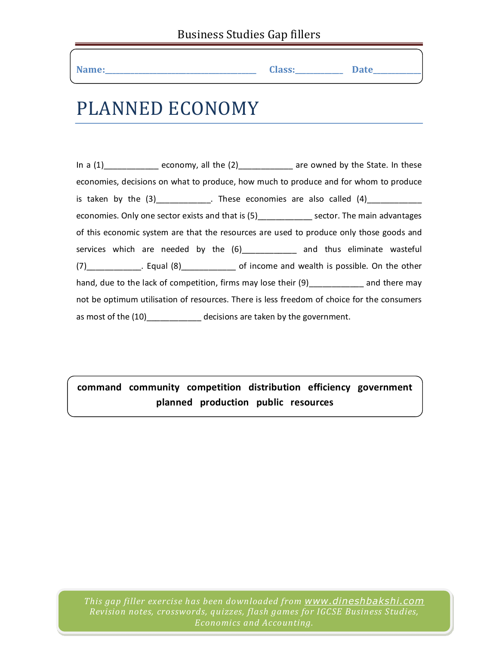| $\mathcal{A}$ ame:<br>--<br>__<br>______ | <b>Class:</b><br>___ | $P_{\alpha}$<br>puv |
|------------------------------------------|----------------------|---------------------|
|------------------------------------------|----------------------|---------------------|

## PLANNED ECONOMY

In a  $(1)$ \_\_\_\_\_\_\_\_\_\_\_\_\_ economy, all the  $(2)$ \_\_\_\_\_\_\_\_\_\_\_\_\_ are owned by the State. In these economies, decisions on what to produce, how much to produce and for whom to produce is taken by the  $(3)$  . These economies are also called  $(4)$ economies. Only one sector exists and that is (5) sector. The main advantages of this economic system are that the resources are used to produce only those goods and services which are needed by the  $(6)$ \_\_\_\_\_\_\_\_\_\_\_ and thus eliminate wasteful (7)\_\_\_\_\_\_\_\_\_\_\_\_. Equal (8)\_\_\_\_\_\_\_\_\_\_\_\_ of income and wealth is possible. On the other hand, due to the lack of competition, firms may lose their (9)\_\_\_\_\_\_\_\_\_\_\_\_\_ and there may not be optimum utilisation of resources. There is less freedom of choice for the consumers as most of the (10)\_\_\_\_\_\_\_\_\_\_\_\_ decisions are taken by the government.

**command community competition distribution efficiency government planned production public resources**

*This gap filler exercise has been downloaded from www.dineshbakshi.com Revision notes, crosswords, quizzes, flash games for IGCSE Business Studies, Economics and Accounting.*